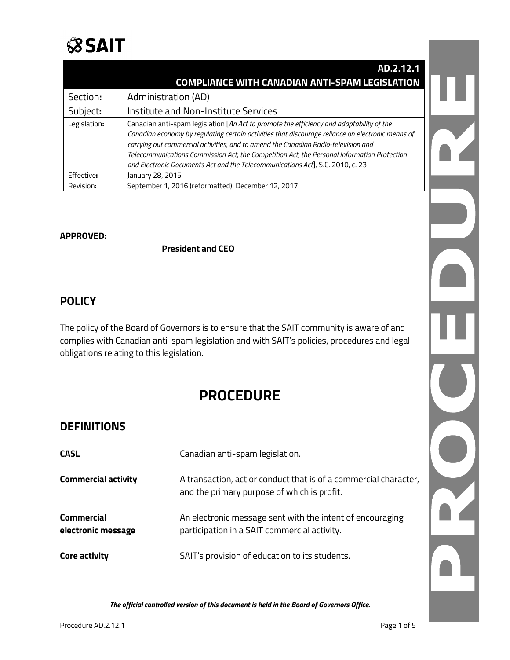

|              | AD.2.12.1                                                                                         |  |
|--------------|---------------------------------------------------------------------------------------------------|--|
|              | <b>COMPLIANCE WITH CANADIAN ANTI-SPAM LEGISLATION</b>                                             |  |
| Section:     | Administration (AD)                                                                               |  |
| Subject:     | Institute and Non-Institute Services                                                              |  |
| Legislation: | Canadian anti-spam legislation [An Act to promote the efficiency and adaptability of the          |  |
|              | Canadian economy by regulating certain activities that discourage reliance on electronic means of |  |
|              | carrying out commercial activities, and to amend the Canadian Radio-television and                |  |
|              | Telecommunications Commission Act, the Competition Act, the Personal Information Protection       |  |
|              | and Electronic Documents Act and the Telecommunications Act], S.C. 2010, c. 23                    |  |
| Effective:   | January 28, 2015                                                                                  |  |
| Revision:    | September 1, 2016 (reformatted); December 12, 2017                                                |  |

#### **APPROVED:**

**President and CEO**

### **POLICY**

The policy of the Board of Governors is to ensure that the SAIT community is aware of and complies with Canadian anti-spam legislation and with SAIT's policies, procedures and legal obligations relating to this legislation.

# **PROCEDURE**

### **DEFINITIONS**

| <b>CASL</b>                             | Canadian anti-spam legislation.                                                                                 |
|-----------------------------------------|-----------------------------------------------------------------------------------------------------------------|
| <b>Commercial activity</b>              | A transaction, act or conduct that is of a commercial character,<br>and the primary purpose of which is profit. |
| <b>Commercial</b><br>electronic message | An electronic message sent with the intent of encouraging<br>participation in a SAIT commercial activity.       |
| Core activity                           | SAIT's provision of education to its students.                                                                  |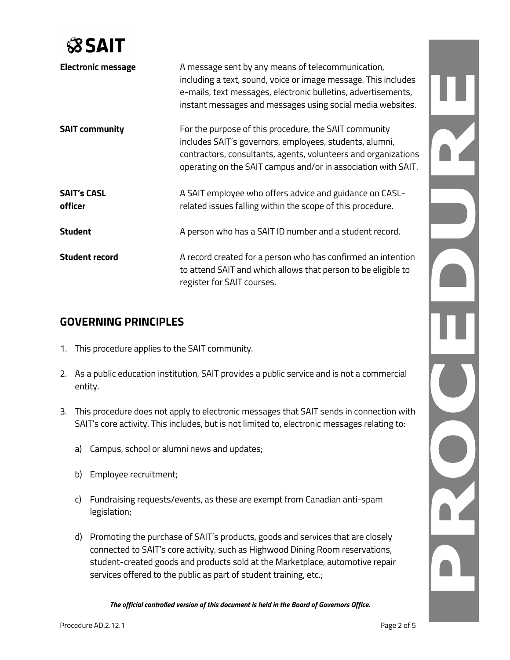

| <b>Electronic message</b>     | A message sent by any means of telecommunication,<br>including a text, sound, voice or image message. This includes<br>e-mails, text messages, electronic bulletins, advertisements,<br>instant messages and messages using social media websites.  |
|-------------------------------|-----------------------------------------------------------------------------------------------------------------------------------------------------------------------------------------------------------------------------------------------------|
| <b>SAIT community</b>         | For the purpose of this procedure, the SAIT community<br>includes SAIT's governors, employees, students, alumni,<br>contractors, consultants, agents, volunteers and organizations<br>operating on the SAIT campus and/or in association with SAIT. |
| <b>SAIT's CASL</b><br>officer | A SAIT employee who offers advice and guidance on CASL-<br>related issues falling within the scope of this procedure.                                                                                                                               |
| <b>Student</b>                | A person who has a SAIT ID number and a student record.                                                                                                                                                                                             |
| <b>Student record</b>         | A record created for a person who has confirmed an intention<br>to attend SAIT and which allows that person to be eligible to<br>register for SAIT courses.                                                                                         |

# **GOVERNING PRINCIPLES**

- 1. This procedure applies to the SAIT community.
- 2. As a public education institution, SAIT provides a public service and is not a commercial entity.
- 3. This procedure does not apply to electronic messages that SAIT sends in connection with SAIT's core activity. This includes, but is not limited to, electronic messages relating to:
	- a) Campus, school or alumni news and updates;
	- b) Employee recruitment;
	- c) Fundraising requests/events, as these are exempt from Canadian anti-spam legislation;
	- d) Promoting the purchase of SAIT's products, goods and services that are closely connected to SAIT's core activity, such as Highwood Dining Room reservations, student-created goods and products sold at the Marketplace, automotive repair services offered to the public as part of student training, etc.;

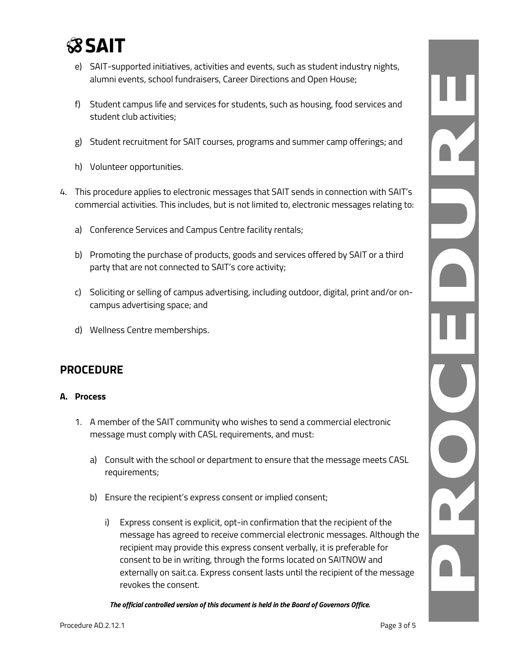

- e) SAIT-supported initiatives, activities and events, such as student industry nights, alumni events, school fundraisers, Career Directions and Open House;
- f) Student campus life and services for students, such as housing, food services and student club activities;
- g) Student recruitment for SAIT courses, programs and summer camp offerings; and
- h) Volunteer opportunities.
- 4. This procedure applies to electronic messages that SAIT sends in connection with SAIT's commercial activities. This includes, but is not limited to, electronic messages relating to:
	- a) Conference Services and Campus Centre facility rentals;
	- b) Promoting the purchase of products, goods and services offered by SAIT or a third party that are not connected to SAIT's core activity;
	- c) Soliciting or selling of campus advertising, including outdoor, digital, print and/or oncampus advertising space; and
	- d) Wellness Centre memberships.

# **PROCEDURE**

#### **A. Process**

- 1. A member of the SAIT community who wishes to send a commercial electronic message must comply with CASL requirements, and must:
	- a) Consult with the school or department to ensure that the message meets CASL requirements;
	- b) Ensure the recipient's express consent or implied consent;
		- i) Express consent is explicit, opt-in confirmation that the recipient of the message has agreed to receive commercial electronic messages. Although the recipient may provide this express consent verbally, it is preferable for consent to be in writing, through the forms located on SAITNOW and externally on sait.ca. Express consent lasts until the recipient of the message revokes the consent.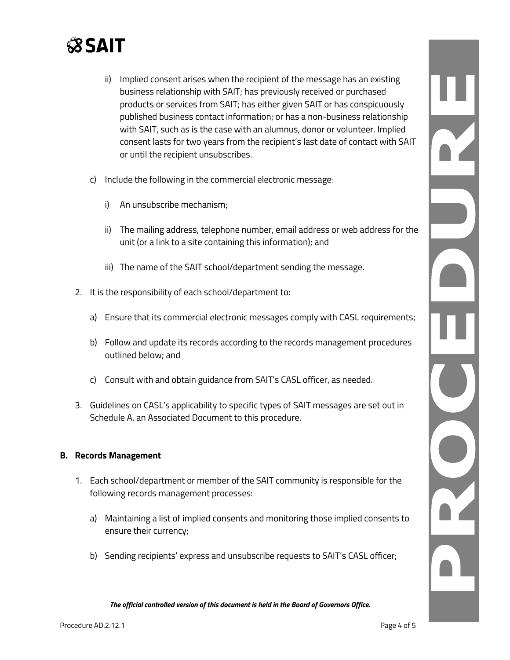

- ii) Implied consent arises when the recipient of the message has an existing business relationship with SAIT; has previously received or purchased products or services from SAIT; has either given SAIT or has conspicuously published business contact information; or has a non-business relationship with SAIT, such as is the case with an alumnus, donor or volunteer. Implied consent lasts for two years from the recipient's last date of contact with SAIT or until the recipient unsubscribes.
- c) Include the following in the commercial electronic message:
	- i) An unsubscribe mechanism;
	- ii) The mailing address, telephone number, email address or web address for the unit (or a link to a site containing this information); and
	- iii) The name of the SAIT school/department sending the message.
- 2. It is the responsibility of each school/department to:
	- a) Ensure that its commercial electronic messages comply with CASL requirements;
	- b) Follow and update its records according to the records management procedures outlined below; and
	- c) Consult with and obtain guidance from SAIT's CASL officer, as needed.
- 3. Guidelines on CASL's applicability to specific types of SAIT messages are set out in Schedule A, an Associated Document to this procedure.

#### **B. Records Management**

- 1. Each school/department or member of the SAIT community is responsible for the following records management processes:
	- a) Maintaining a list of implied consents and monitoring those implied consents to ensure their currency;
	- b) Sending recipients' express and unsubscribe requests to SAIT's CASL officer;

*The official controlled version of this document is held in the Board of Governors Office.*

Ì.